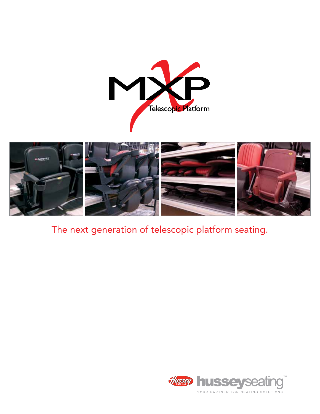



# The next generation of telescopic platform seating.

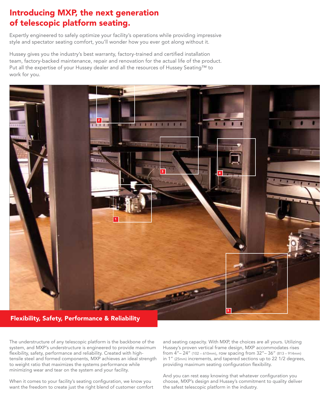# Introducing MXP, the next generation of telescopic platform seating.

Expertly engineered to safely optimize your facility's operations while providing impressive style and spectator seating comfort, you'll wonder how you ever got along without it.

Hussey gives you the industry's best warranty, factory-trained and certified installation team, factory-backed maintenance, repair and renovation for the actual life of the product. Put all the expertise of your Hussey dealer and all the resources of Hussey Seating™ to work for you.



## Flexibility, Safety, Performance & Reliability

The understructure of any telescopic platform is the backbone of the system, and MXP's understructure is engineered to provide maximum flexibility, safety, performance and reliability. Created with hightensile steel and formed components, MXP achieves an ideal strength to weight ratio that maximizes the systems performance while minimizing wear and tear on the system and your facility.

When it comes to your facility's seating configuration, we know you want the freedom to create just the right blend of customer comfort

and seating capacity. With MXP, the choices are all yours. Utilizing Hussey's proven vertical frame design, MXP accommodates rises from 4"– 24" (102 – 610mm), row spacing from 32"– 36" (813 – 914mm) in 1" (25mm) increments, and tapered sections up to 22 1/2 degrees, providing maximum seating configuration flexibility.

And you can rest easy knowing that whatever configuration you choose, MXP's design and Hussey's commitment to quality deliver the safest telescopic platform in the industry.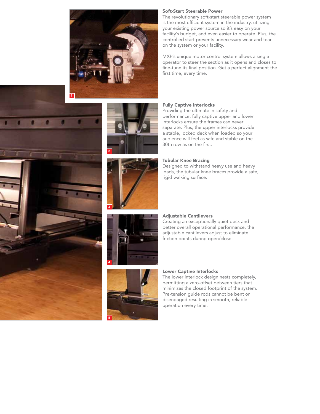











#### Soft-Start Steerable Power

The revolutionary soft-start steerable power system is the most efficient system in the industry, utilizing your existing power source so it's easy on your facility's budget, and even easier to operate. Plus, the controlled start prevents unnecessary wear and tear on the system or your facility.

MXP's unique motor control system allows a single operator to steer the section as it opens and closes to fine-tune its final position. Get a perfect alignment the first time, every time.

### Fully Captive Interlocks

Providing the ultimate in safety and performance, fully captive upper and lower interlocks ensure the frames can never separate. Plus, the upper interlocks provide a stable, locked deck when loaded so your audience will feel as safe and stable on the 30th row as on the first.

#### Tubular Knee Bracing

Designed to withstand heavy use and heavy loads, the tubular knee braces provide a safe, rigid walking surface.

#### Adjustable Cantilevers

Creating an exceptionally quiet deck and better overall operational performance, the adjustable cantilevers adjust to eliminate friction points during open/close.

#### Lower Captive Interlocks

The lower interlock design nests completely, permitting a zero-offset between tiers that minimizes the closed footprint of the system. Pre-tension guide rods cannot be bent or disengaged resulting in smooth, reliable operation every time.